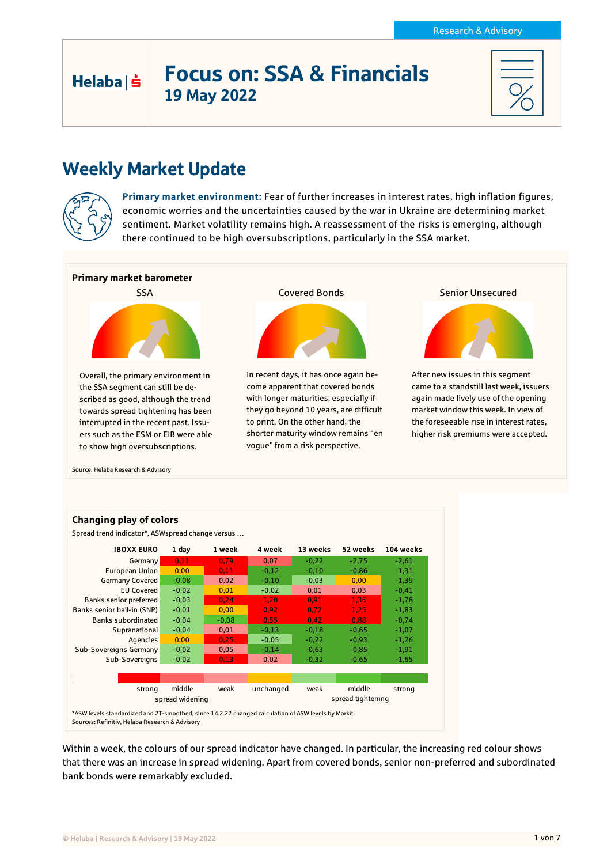# Focus on: SSA & Financials 19 May 2022

# Weekly Market Update



Helaba | s

**Primary market environment:** Fear of further increases in interest rates, high inflation figures, economic worries and the uncertainties caused by the war in Ukraine are determining market sentiment. Market volatility remains high. A reassessment of the risks is emerging, although there continued to be high oversubscriptions, particularly in the SSA market.



Source: Helaba Research & Advisory



Within a week, the colours of our spread indicator have changed. In particular, the increasing red colour shows that there was an increase in spread widening. Apart from covered bonds, senior non-preferred and subordinated bank bonds were remarkably excluded.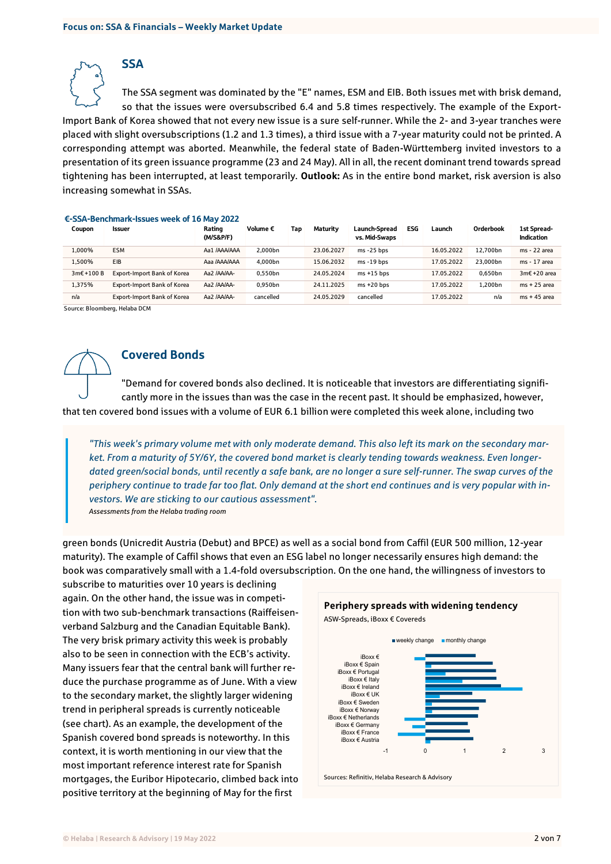**SSA** 

The SSA segment was dominated by the "E" names, ESM and EIB. Both issues met with brisk demand, so that the issues were oversubscribed 6.4 and 5.8 times respectively. The example of the Export-Import Bank of Korea showed that not every new issue is a sure self-runner. While the 2- and 3-year tranches were placed with slight oversubscriptions (1.2 and 1.3 times), a third issue with a 7-year maturity could not be printed. A corresponding attempt was aborted. Meanwhile, the federal state of Baden-Württemberg invited investors to a presentation of its green issuance programme (23 and 24 May). All in all, the recent dominant trend towards spread tightening has been interrupted, at least temporarily. **Outlook:** As in the entire bond market, risk aversion is also increasing somewhat in SSAs.

#### €-SSA-Benchmark-Issues week of 16 May 2022

| Coupon   | <b>Issuer</b>               | Rating<br>(M/S&P/F) | Volume $\epsilon$ | Tap | Maturity   | Launch-Spread<br>vs. Mid-Swaps | <b>ESG</b> | Launch     | Orderbook | 1st Spread-<br>Indication |
|----------|-----------------------------|---------------------|-------------------|-----|------------|--------------------------------|------------|------------|-----------|---------------------------|
| 1.000%   | <b>ESM</b>                  | Aa1 /AAA/AAA        | 2.000bn           |     | 23.06.2027 | $ms - 25 bps$                  |            | 16.05.2022 | 12.700bn  | ms - 22 area              |
| L.500%   | EIB                         | Aaa /AAA/AAA        | 4.000bn           |     | 15.06.2032 | $ms - 19 bps$                  |            | 17.05.2022 | 23.000bn  | ms - 17 area              |
| 3m€+100B | Export-Import Bank of Korea | Aa2 /AA/AA-         | 0.550bn           |     | 24.05.2024 | $ms + 15$ bps                  |            | 17.05.2022 | 0.650bn   | 3m€ +20 area              |
| 1.375%   | Export-Import Bank of Korea | Aa2 /AA/AA-         | 0.950bn           |     | 24.11.2025 | $ms + 20$ bps                  |            | 17.05.2022 | 1.200bn   | $ms + 25$ area            |
| n/a      | Export-Import Bank of Korea | Aa2 /AA/AA-         | cancelled         |     | 24.05.2029 | cancelled                      |            | 17.05.2022 | n/a       | $ms + 45$ area            |

Source: Bloomberg, Helaba DCM



# Covered Bonds

"Demand for covered bonds also declined. It is noticeable that investors are differentiating significantly more in the issues than was the case in the recent past. It should be emphasized, however, that ten covered bond issues with a volume of EUR 6.1 billion were completed this week alone, including two

*"This week's primary volume met with only moderate demand. This also left its mark on the secondary market. From a maturity of 5Y/6Y, the covered bond market is clearly tending towards weakness. Even longerdated green/social bonds, until recently a safe bank, are no longer a sure self-runner. The swap curves of the periphery continue to trade far too flat. Only demand at the short end continues and is very popular with investors. We are sticking to our cautious assessment". Assessments from the Helaba trading room*

green bonds (Unicredit Austria (Debut) and BPCE) as well as a social bond from Caffil (EUR 500 million, 12-year maturity). The example of Caffil shows that even an ESG label no longer necessarily ensures high demand: the book was comparatively small with a 1.4-fold oversubscription. On the one hand, the willingness of investors to

subscribe to maturities over 10 years is declining again. On the other hand, the issue was in competition with two sub-benchmark transactions (Raiffeisenverband Salzburg and the Canadian Equitable Bank). The very brisk primary activity this week is probably also to be seen in connection with the ECB's activity. Many issuers fear that the central bank will further reduce the purchase programme as of June. With a view to the secondary market, the slightly larger widening trend in peripheral spreads is currently noticeable (see chart). As an example, the development of the Spanish covered bond spreads is noteworthy. In this context, it is worth mentioning in our view that the most important reference interest rate for Spanish mortgages, the Euribor Hipotecario, climbed back into positive territory at the beginning of May for the first

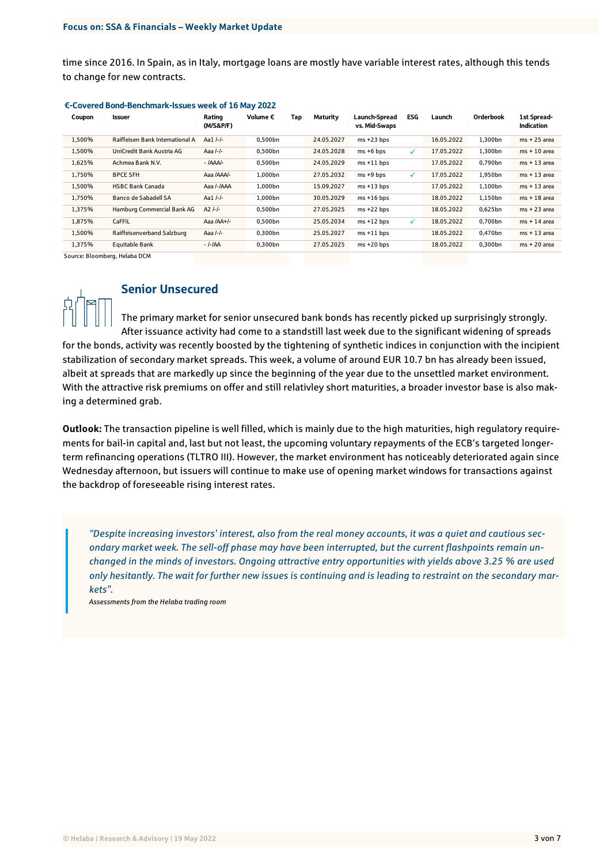time since 2016. In Spain, as in Italy, mortgage loans are mostly have variable interest rates, although this tends to change for new contracts.

| Coupon | Issuer                          | Rating<br>(M/S&P/F) | Volume € | Tap | Maturity   | <b>Launch-Spread</b><br>vs. Mid-Swaps | <b>ESG</b> | Launch     | Orderbook | 1st Spread-<br><b>Indication</b> |
|--------|---------------------------------|---------------------|----------|-----|------------|---------------------------------------|------------|------------|-----------|----------------------------------|
| 1.500% | Raiffeisen Bank International A | Aa1 /-/-            | 0.500bn  |     | 24.05.2027 | $ms + 23 bps$                         |            | 16.05.2022 | 1.300bn   | $ms + 25$ area                   |
| 1,500% | UniCredit Bank Austria AG       | Aaa $I-I$ -         | 0.500bn  |     | 24.05.2028 | $ms + 6 bps$                          | ✓          | 17.05.2022 | 1,300bn   | $ms + 10$ area                   |
| 1,625% | Achmea Bank N.V.                | $- IAA$ A/-         | 0.500bn  |     | 24.05.2029 | $ms + 11 bps$                         |            | 17.05.2022 | 0,790bn   | $ms + 13$ area                   |
| 1,750% | <b>BPCE SFH</b>                 | Aaa /AAA/-          | 1.000bn  |     | 27.05.2032 | $ms + 9 bps$                          | ✓          | 17.05.2022 | 1,950bn   | $ms + 13$ area                   |
| 1,500% | <b>HSBC Bank Canada</b>         | Aaa /-/AAA          | 1,000bn  |     | 15.09.2027 | $ms + 13 bps$                         |            | 17.05.2022 | 1,100bn   | $ms + 13$ area                   |
| 1,750% | Banco de Sabadell SA            | Aa1 /-/-            | 1.000bn  |     | 30.05.2029 | $ms + 16 bps$                         |            | 18.05.2022 | 1,150bn   | $ms + 18$ area                   |
| 1,375% | Hamburg Commercial Bank AG      | $A2$ /-/-           | 0.500bn  |     | 27.05.2025 | $ms + 22 bps$                         |            | 18.05.2022 | 0,625bn   | $ms + 23$ area                   |
| 1,875% | CaFFiL                          | Aaa /AA+/-          | 0,500bn  |     | 25.05.2034 | $ms + 12 bps$                         | ✓          | 18.05.2022 | 0,700bn   | $ms + 14$ area                   |
| 1,500% | Raiffeisenverband Salzburg      | Aaa /-/-            | 0,300bn  |     | 25.05.2027 | $ms + 11 bps$                         |            | 18.05.2022 | 0,470bn   | $ms + 13$ area                   |
| 1.375% | Equitable Bank                  | - <i>I-I</i> AA     | 0.300bn  |     | 27.05.2025 | $ms + 20 bps$                         |            | 18.05.2022 | 0.300bn   | $ms + 20$ area                   |

#### €-Covered Bond-Benchmark-Issues week of 16 May 2022

Source: Bloomberg, Helaba DCM



### Senior Unsecured

The primary market for senior unsecured bank bonds has recently picked up surprisingly strongly. After issuance activity had come to a standstill last week due to the significant widening of spreads for the bonds, activity was recently boosted by the tightening of synthetic indices in conjunction with the incipient stabilization of secondary market spreads. This week, a volume of around EUR 10.7 bn has already been issued, albeit at spreads that are markedly up since the beginning of the year due to the unsettled market environment. With the attractive risk premiums on offer and still relativley short maturities, a broader investor base is also making a determined grab.

**Outlook:** The transaction pipeline is well filled, which is mainly due to the high maturities, high regulatory requirements for bail-in capital and, last but not least, the upcoming voluntary repayments of the ECB's targeted longerterm refinancing operations (TLTRO III). However, the market environment has noticeably deteriorated again since Wednesday afternoon, but issuers will continue to make use of opening market windows for transactions against the backdrop of foreseeable rising interest rates.

*"Despite increasing investors' interest, also from the real money accounts, it was a quiet and cautious secondary market week. The sell-off phase may have been interrupted, but the current flashpoints remain unchanged in the minds of investors. Ongoing attractive entry opportunities with yields above 3.25 % are used only hesitantly. The wait for further new issues is continuing and is leading to restraint on the secondary markets".*

*Assessments from the Helaba trading room*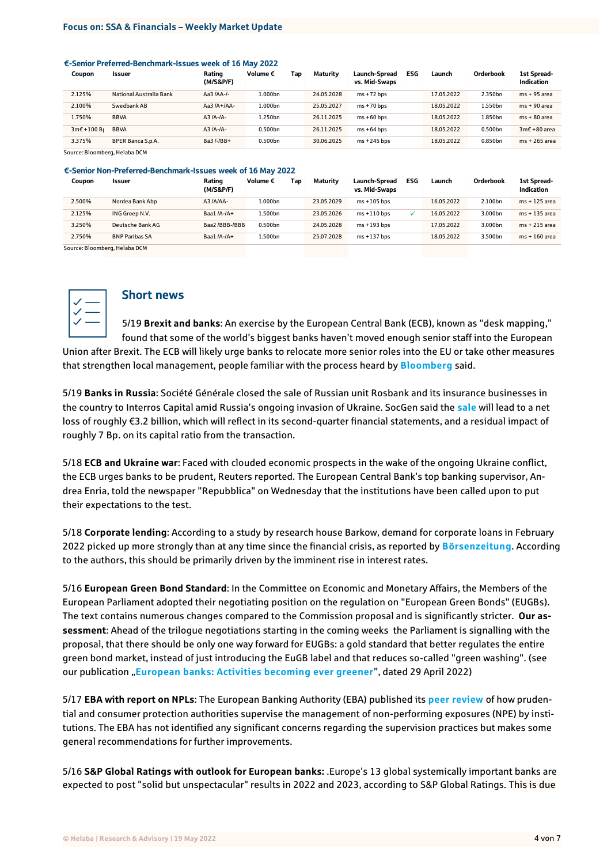### **Focus on: SSA & Financials – Weekly Market Update**

#### €-Senior Preferred-Benchmark-Issues week of 16 May 2022

| Coupon                        | <b>Issuer</b>           | Rating<br>(M/S&P/F) | Volume $\epsilon$ | Tap | Maturity   | Launch-Spread<br>vs. Mid-Swaps | <b>ESG</b> | Launch     | Orderbook | 1st Spread-<br><b>Indication</b> |
|-------------------------------|-------------------------|---------------------|-------------------|-----|------------|--------------------------------|------------|------------|-----------|----------------------------------|
| 2.125%                        | National Australia Bank | Aa3 $IAA-I$ -       | L.000bn           |     | 24.05.2028 | $ms + 72 bps$                  |            | 17.05.2022 | 2.350bn   | $ms + 95$ area                   |
| 2.100%                        | Swedbank AB             | Aa3 $IA+IAA-$       | L.000bn           |     | 25.05.2027 | $ms + 70$ bps                  |            | 18.05.2022 | 1.550bn   | $ms + 90$ area                   |
| 1.750%                        | <b>BBVA</b>             | $A3/A-A-$           | L.250bn           |     | 26.11.2025 | $ms + 60 bps$                  |            | 18.05.2022 | 1.850bn   | $ms + 80$ area                   |
| $3m\epsilon + 100B$           | <b>BBVA</b>             | $A3/A-A-$           | 0.500bn           |     | 26.11.2025 | $ms + 64$ bps                  |            | 18.05.2022 | 0.500bn   | 3m€ +80 area                     |
| 3.375%                        | BPER Banca S.p.A.       | Ba3/-/BB+           | 0.500bn           |     | 30.06.2025 | $ms + 245$ bps                 |            | 18.05.2022 | 0.850bn   | ms + 265 area                    |
| Course, Bloomborn, Holsha DCM |                         |                     |                   |     |            |                                |            |            |           |                                  |

Source: Bloomberg, Helaba DCM

#### €-Senior Non-Preferred-Benchmark-Issues week of 16 May 2022

| Coupon | <b>Issuer</b>         | Rating<br>(M/S&P/F) | Volume € | Tao | Maturity   | Launch-Spread<br>vs. Mid-Swaps | ESG | Launch     | Orderbook | 1st Spread-<br>Indication |
|--------|-----------------------|---------------------|----------|-----|------------|--------------------------------|-----|------------|-----------|---------------------------|
| 2.500% | Nordea Bank Abp       | A3 /A/AA-           | L.000bn  |     | 23.05.2029 | $ms + 105$ bps                 |     | 16.05.2022 | 2.100bn   | ms + 125 area             |
| 2.125% | ING Groep N.V.        | Baa $1/A$ -/A+      | .500bn   |     | 23.05.2026 | $ms + 110 bps$                 |     | 16.05.2022 | 3.000bn   | ms + 135 area             |
| 3.250% | Deutsche Bank AG      | Baa2/BBB-/BBB       | 0.500bn  |     | 24.05.2028 | $ms + 193$ bps                 |     | 17.05.2022 | 3.000bn   | ms + 215 area             |
| 2.750% | <b>BNP Paribas SA</b> | Baa $1/A$ -/A+      | .500bn   |     | 25.07.2028 | $ms + 137 bps$                 |     | 18.05.2022 | 3.500bn   | ms + 160 area             |

Source: Bloomberg, Helaba DCM



### Short news

5/19 **Brexit and banks**: An exercise by the European Central Bank (ECB), known as "desk mapping," found that some of the world's biggest banks haven't moved enough senior staff into the European Union after Brexit. The ECB will likely urge banks to relocate more senior roles into the EU or take other measures that strengthen local management, people familiar with the process heard by **[Bloomberg](https://www.bloomberg.com/news/articles/2022-05-18/global-banks-need-more-top-staff-in-eu-ecb-s-desk-mapping-finds?utm_source=google&utm_medium=bd&cmpId=google&utm_source=European+Banking+Federation+newsletters+and+updates&utm_campaign=523d799774-EMAIL_CAMPAIGN_2018_04_25_COPY_01&utm_medium=email&utm_term=0_088668d33b-523d799774-80222235&mc_cid=523d799774&mc_eid=e43c99b57d)** said.

5/19 **Banks in Russia**: Société Générale closed the sale of Russian unit Rosbank and its insurance businesses in the country to Interros Capital amid Russia's ongoing invasion of Ukraine. SocGen said the **[sale](https://www.societegenerale.com/sites/default/files/documents/2022-05/2022-05-18-Press-release-Societe-Generale.pdf)** will lead to a net loss of roughly €3.2 billion, which will reflect in its second-quarter financial statements, and a residual impact of roughly 7 Bp. on its capital ratio from the transaction.

5/18 **ECB and Ukraine war**: Faced with clouded economic prospects in the wake of the ongoing Ukraine conflict, the ECB urges banks to be prudent, Reuters reported. The European Central Bank's top banking supervisor, Andrea Enria, told the newspaper "Repubblica" on Wednesday that the institutions have been called upon to put their expectations to the test.

5/18 **Corporate lending**: According to a study by research house Barkow, demand for corporate loans in February 2022 picked up more strongly than at any time since the financial crisis, as reported by **[Börsenzeitung](https://www.boersen-zeitung.de/banken-finanzen/die-nachfrage-nach-unternehmenskrediten-springt-96c3f964-d5c4-11ec-91db-7926653cc795)**. According to the authors, this should be primarily driven by the imminent rise in interest rates.

5/16 **European Green Bond Standard**: In the Committee on Economic and Monetary Affairs, the Members of the European Parliament adopted their negotiating position on the regulation on "European Green Bonds" (EUGBs). The text contains numerous changes compared to the Commission proposal and is significantly stricter. **Our assessment**: Ahead of the trilogue negotiations starting in the coming weeks the Parliament is signalling with the proposal, that there should be only one way forward for EUGBs: a gold standard that better regulates the entire green bond market, instead of just introducing the EuGB label and that reduces so-called "green washing". (see our publication "[European banks: Activities becoming ever greener](https://www.helaba.de/blueprint/servlet/resource/blob/docs/585198/e40c2a99cdb2cb7831edea202d65ae40/european-banks-20220504-en-data.pdf)", dated 29 April 2022)

5/17 **EBA with report on NPLs**: The European Banking Authority (EBA) published its **[peer review](https://www.eba.europa.eu/eba-publishes-peer-review-management-non-performing-exposures)** of how prudential and consumer protection authorities supervise the management of non-performing exposures (NPE) by institutions. The EBA has not identified any significant concerns regarding the supervision practices but makes some general recommendations for further improvements.

5/16 **S&P Global Ratings with outlook for European banks:** .Europe's 13 global systemically important banks are expected to post "solid but unspectacular" results in 2022 and 2023, according to S&P Global Ratings. This is due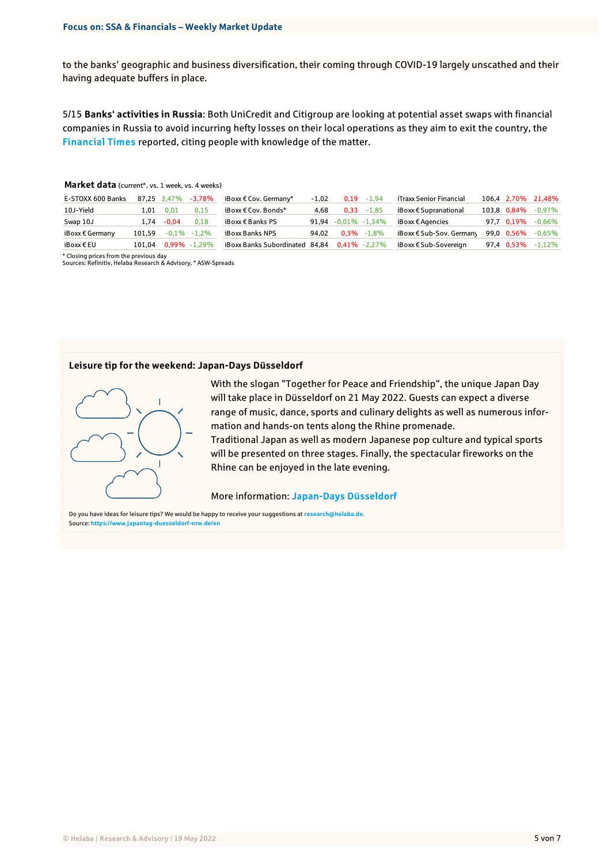to the banks' geographic and business diversification, their coming through COVID-19 largely unscathed and their having adequate buffers in place.

5/15 **Banks' activities in Russia**: Both UniCredit and Citigroup are looking at potential asset swaps with financial companies in Russia to avoid incurring hefty losses on their local operations as they aim to exit the country, the **[Financial Times](https://www.ft.com/content/1ec40480-5e84-46c6-8e78-0152b0d51fe9)** reported, citing people with knowledge of the matter.

| Market data (current*, vs. 1 week, vs. 4 weeks) |  |
|-------------------------------------------------|--|
|-------------------------------------------------|--|

| E-STOXX 600 Banks        |        | 87.25 3.47% | -3.78%           | iBoxx € Cov. Germany*          | $-1.02$ |                         | $0.19 - 1.94$   | iTraxx Senior Financial  |             | 106,4 2,70% 21,48% |
|--------------------------|--------|-------------|------------------|--------------------------------|---------|-------------------------|-----------------|--------------------------|-------------|--------------------|
| 10J-Yield                | 1.01   | 0.01        | 0.15             | iBoxx € Cov. Bonds*            | 4.68    |                         | $0.33 - 1.85$   | iBoxx € Supranational    | 103.8 0.84% | -0,97%             |
| Swap 10J                 | 1.74   | $-0.04$     | 0.18             | iBoxx $\epsilon$ Banks PS      |         | $91,94 -0,01\% -1,34\%$ |                 | iBoxx € Agencies         | 97.7 0.19%  | $-0,66\%$          |
| iBoxx $\epsilon$ Germany | 101.59 |             | $-0.1\% -1.2\%$  | iBoxx Banks NPS                | 94.02   |                         | $0.3\% -1.8\%$  | iBoxx € Sub-Sov. Germany | 99,0 0,56%  | $-0.65\%$          |
| iBoxx€EU                 | 101.04 |             | $0.99\% -1.29\%$ | iBoxx Banks Subordinated 84,84 |         |                         | $0,41\%$ -2,27% | iBoxx € Sub-Sovereian    | 97.4 0.53%  | $-1.12\%$          |

\* Closing prices from the previous day Sources: Refinitiv, Helaba Research & Advisory, \* ASW-Spreads

### **Leisure tip for the weekend: Japan-Days Düsseldorf**



With the slogan "Together for Peace and Friendship", the unique Japan Day will take place in Düsseldorf on 21 May 2022. Guests can expect a diverse range of music, dance, sports and culinary delights as well as numerous information and hands-on tents along the Rhine promenade.

Traditional Japan as well as modern Japanese pop culture and typical sports will be presented on three stages. Finally, the spectacular fireworks on the Rhine can be enjoyed in the late evening.

More information: **[Japan-Days Düsseldorf](https://www.japantag-duesseldorf-nrw.de/en)**

Do you have ideas for leisure tips? We would be happy to receive your suggestions at **[research@helaba.de](mailto:research@helaba.de)**. Source: **<https://www.japantag-duesseldorf-nrw.de/en>**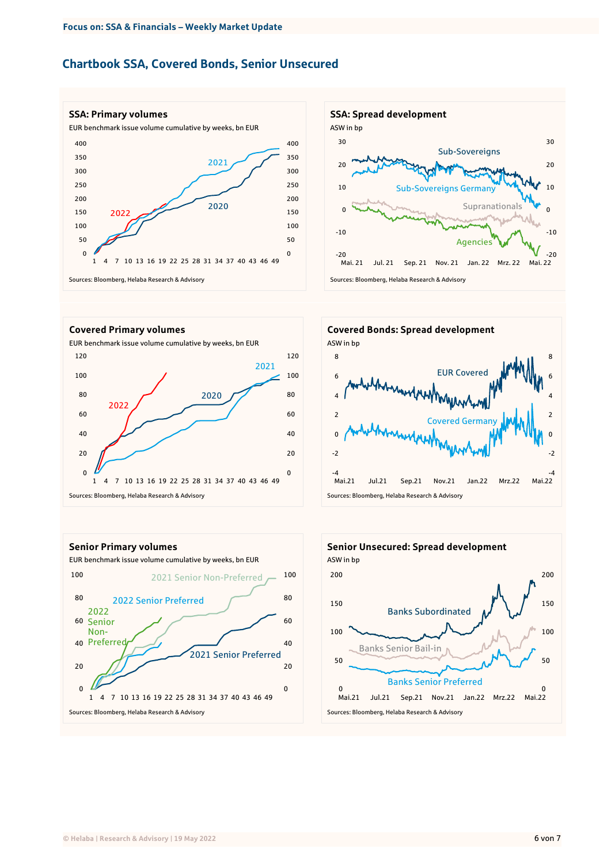# Chartbook SSA, Covered Bonds, Senior Unsecured